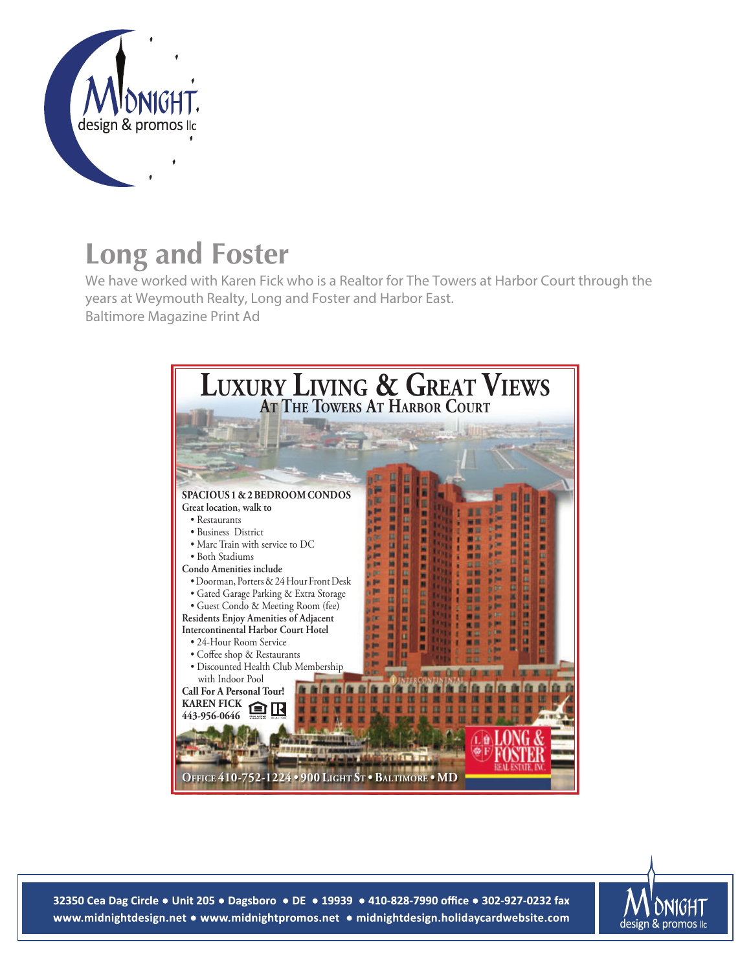

## **Long and Foster**

We have worked with Karen Fick who is a Realtor for The Towers at Harbor Court through the years at Weymouth Realty, Long and Foster and Harbor East. Baltimore Magazine Print Ad



32350 Cea Dag Circle • Unit 205 • Dagsboro • DE • 19939 • 410-828-7990 office • 302-927-0232 fax www.midnightdesign.net • www.midnightpromos.net • midnightdesign.holidaycardwebsite.com